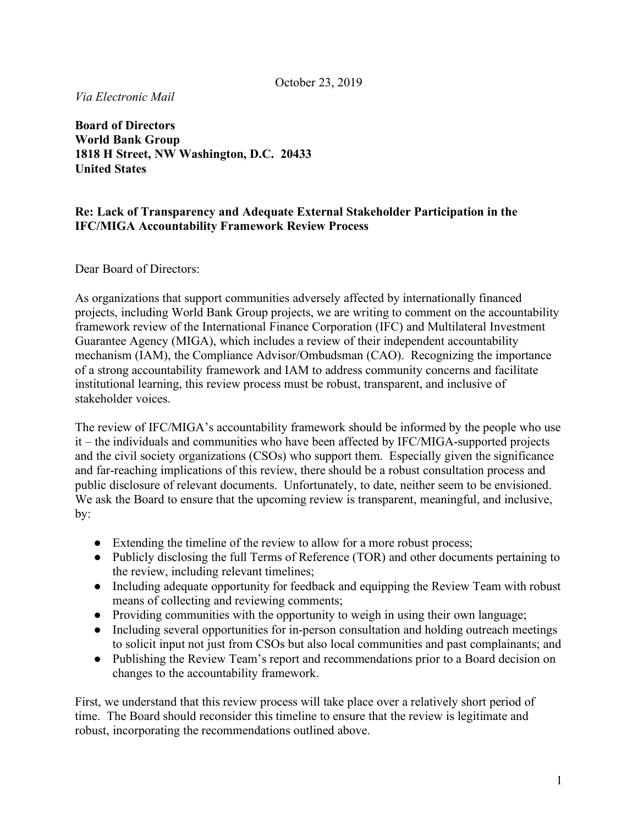*Via Electronic Mail*

**Board of Directors World Bank Group 1818 H Street, NW Washington, D.C. 20433 United States**

## **Re: Lack of Transparency and Adequate External Stakeholder Participation in the IFC/MIGA Accountability Framework Review Process**

Dear Board of Directors:

As organizations that support communities adversely affected by internationally financed projects, including World Bank Group projects, we are writing to comment on the accountability framework review of the International Finance Corporation (IFC) and Multilateral Investment Guarantee Agency (MIGA), which includes a review of their independent accountability mechanism (IAM), the Compliance Advisor/Ombudsman (CAO). Recognizing the importance of a strong accountability framework and IAM to address community concerns and facilitate institutional learning, this review process must be robust, transparent, and inclusive of stakeholder voices.

The review of IFC/MIGA's accountability framework should be informed by the people who use it – the individuals and communities who have been affected by IFC/MIGA-supported projects and the civil society organizations (CSOs) who support them. Especially given the significance and far-reaching implications of this review, there should be a robust consultation process and public disclosure of relevant documents. Unfortunately, to date, neither seem to be envisioned. We ask the Board to ensure that the upcoming review is transparent, meaningful, and inclusive, by:

- Extending the timeline of the review to allow for a more robust process;
- Publicly disclosing the full Terms of Reference (TOR) and other documents pertaining to the review, including relevant timelines;
- Including adequate opportunity for feedback and equipping the Review Team with robust means of collecting and reviewing comments;
- Providing communities with the opportunity to weigh in using their own language;
- Including several opportunities for in-person consultation and holding outreach meetings to solicit input not just from CSOs but also local communities and past complainants; and
- Publishing the Review Team's report and recommendations prior to a Board decision on changes to the accountability framework.

First, we understand that this review process will take place over a relatively short period of time. The Board should reconsider this timeline to ensure that the review is legitimate and robust, incorporating the recommendations outlined above.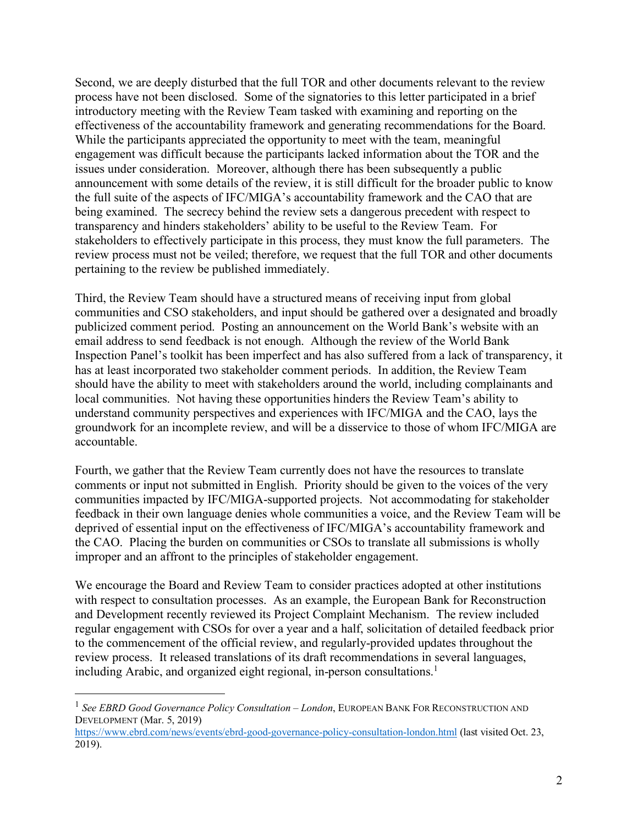Second, we are deeply disturbed that the full TOR and other documents relevant to the review process have not been disclosed. Some of the signatories to this letter participated in a brief introductory meeting with the Review Team tasked with examining and reporting on the effectiveness of the accountability framework and generating recommendations for the Board. While the participants appreciated the opportunity to meet with the team, meaningful engagement was difficult because the participants lacked information about the TOR and the issues under consideration. Moreover, although there has been subsequently a public announcement with some details of the review, it is still difficult for the broader public to know the full suite of the aspects of IFC/MIGA's accountability framework and the CAO that are being examined. The secrecy behind the review sets a dangerous precedent with respect to transparency and hinders stakeholders' ability to be useful to the Review Team. For stakeholders to effectively participate in this process, they must know the full parameters. The review process must not be veiled; therefore, we request that the full TOR and other documents pertaining to the review be published immediately.

Third, the Review Team should have a structured means of receiving input from global communities and CSO stakeholders, and input should be gathered over a designated and broadly publicized comment period. Posting an announcement on the World Bank's website with an email address to send feedback is not enough. Although the review of the World Bank Inspection Panel's toolkit has been imperfect and has also suffered from a lack of transparency, it has at least incorporated two stakeholder comment periods. In addition, the Review Team should have the ability to meet with stakeholders around the world, including complainants and local communities. Not having these opportunities hinders the Review Team's ability to understand community perspectives and experiences with IFC/MIGA and the CAO, lays the groundwork for an incomplete review, and will be a disservice to those of whom IFC/MIGA are accountable.

Fourth, we gather that the Review Team currently does not have the resources to translate comments or input not submitted in English. Priority should be given to the voices of the very communities impacted by IFC/MIGA-supported projects. Not accommodating for stakeholder feedback in their own language denies whole communities a voice, and the Review Team will be deprived of essential input on the effectiveness of IFC/MIGA's accountability framework and the CAO. Placing the burden on communities or CSOs to translate all submissions is wholly improper and an affront to the principles of stakeholder engagement.

We encourage the Board and Review Team to consider practices adopted at other institutions with respect to consultation processes. As an example, the European Bank for Reconstruction and Development recently reviewed its Project Complaint Mechanism. The review included regular engagement with CSOs for over a year and a half, solicitation of detailed feedback prior to the commencement of the official review, and regularly-provided updates throughout the review process. It released translations of its draft recommendations in several languages, including Arabic, and organized eight regional, in-person consultations.<sup>1</sup>

 <sup>1</sup> *See EBRD Good Governance Policy Consultation – London*, EUROPEAN BANK FOR RECONSTRUCTION AND DEVELOPMENT (Mar. 5, 2019)

https://www.ebrd.com/news/events/ebrd-good-governance-policy-consultation-london.html (last visited Oct. 23, 2019).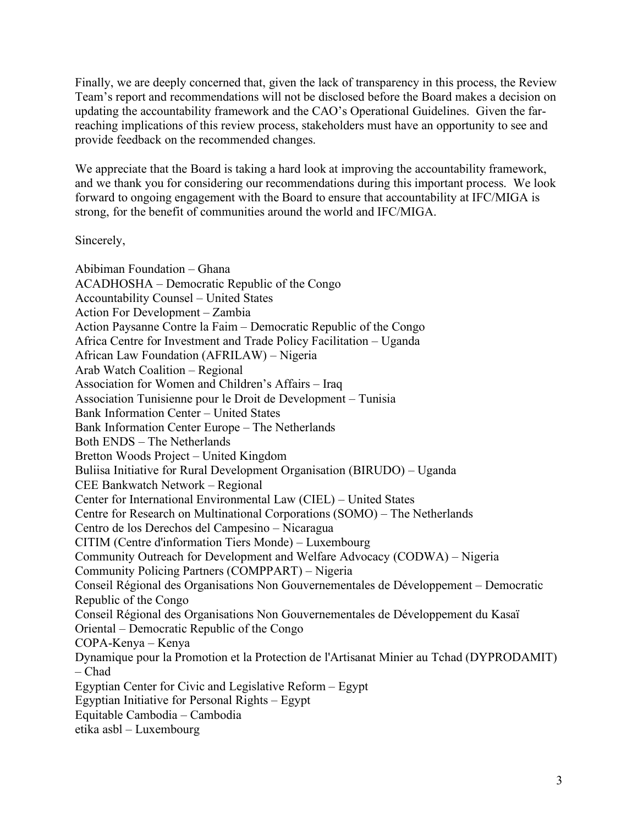Finally, we are deeply concerned that, given the lack of transparency in this process, the Review Team's report and recommendations will not be disclosed before the Board makes a decision on updating the accountability framework and the CAO's Operational Guidelines. Given the farreaching implications of this review process, stakeholders must have an opportunity to see and provide feedback on the recommended changes.

We appreciate that the Board is taking a hard look at improving the accountability framework, and we thank you for considering our recommendations during this important process. We look forward to ongoing engagement with the Board to ensure that accountability at IFC/MIGA is strong, for the benefit of communities around the world and IFC/MIGA.

Sincerely,

Abibiman Foundation – Ghana ACADHOSHA – Democratic Republic of the Congo Accountability Counsel – United States Action For Development – Zambia Action Paysanne Contre la Faim – Democratic Republic of the Congo Africa Centre for Investment and Trade Policy Facilitation – Uganda African Law Foundation (AFRILAW) – Nigeria Arab Watch Coalition – Regional Association for Women and Children's Affairs – Iraq Association Tunisienne pour le Droit de Development – Tunisia Bank Information Center – United States Bank Information Center Europe – The Netherlands Both ENDS – The Netherlands Bretton Woods Project – United Kingdom Buliisa Initiative for Rural Development Organisation (BIRUDO) – Uganda CEE Bankwatch Network – Regional Center for International Environmental Law (CIEL) – United States Centre for Research on Multinational Corporations (SOMO) – The Netherlands Centro de los Derechos del Campesino – Nicaragua CITIM (Centre d'information Tiers Monde) – Luxembourg Community Outreach for Development and Welfare Advocacy (CODWA) – Nigeria Community Policing Partners (COMPPART) – Nigeria Conseil Régional des Organisations Non Gouvernementales de Développement – Democratic Republic of the Congo Conseil Régional des Organisations Non Gouvernementales de Développement du Kasaï Oriental – Democratic Republic of the Congo COPA-Kenya – Kenya Dynamique pour la Promotion et la Protection de l'Artisanat Minier au Tchad (DYPRODAMIT) – Chad Egyptian Center for Civic and Legislative Reform – Egypt Egyptian Initiative for Personal Rights – Egypt Equitable Cambodia – Cambodia etika asbl – Luxembourg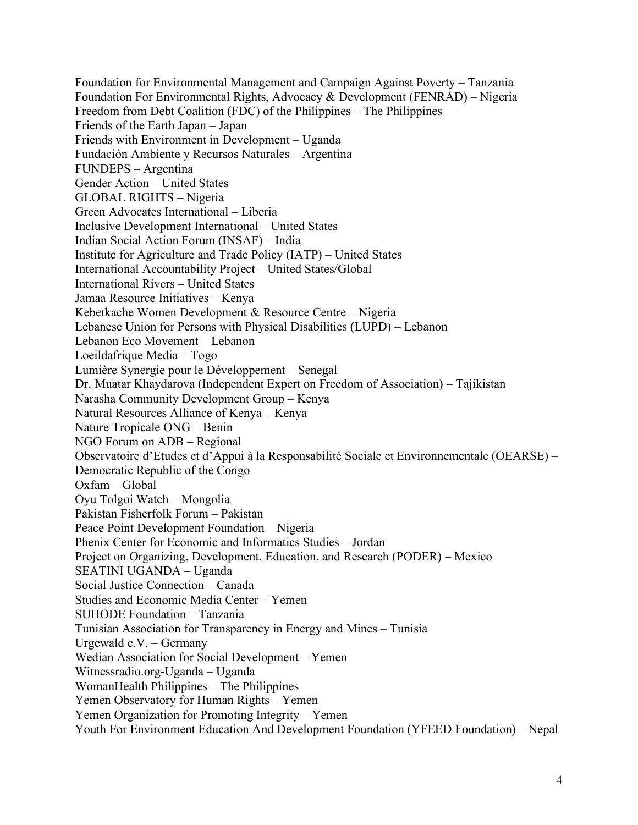Foundation for Environmental Management and Campaign Against Poverty – Tanzania Foundation For Environmental Rights, Advocacy & Development (FENRAD) – Nigeria Freedom from Debt Coalition (FDC) of the Philippines – The Philippines Friends of the Earth Japan – Japan Friends with Environment in Development – Uganda Fundación Ambiente y Recursos Naturales – Argentina FUNDEPS – Argentina Gender Action – United States GLOBAL RIGHTS – Nigeria Green Advocates International – Liberia Inclusive Development International – United States Indian Social Action Forum (INSAF) – India Institute for Agriculture and Trade Policy (IATP) – United States International Accountability Project – United States/Global International Rivers – United States Jamaa Resource Initiatives – Kenya Kebetkache Women Development & Resource Centre – Nigeria Lebanese Union for Persons with Physical Disabilities (LUPD) – Lebanon Lebanon Eco Movement – Lebanon Loeildafrique Media – Togo Lumière Synergie pour le Développement – Senegal Dr. Muatar Khaydarova (Independent Expert on Freedom of Association) – Tajikistan Narasha Community Development Group – Kenya Natural Resources Alliance of Kenya – Kenya Nature Tropicale ONG – Benin NGO Forum on ADB – Regional Observatoire d'Etudes et d'Appui à la Responsabilité Sociale et Environnementale (OEARSE) – Democratic Republic of the Congo Oxfam – Global Oyu Tolgoi Watch – Mongolia Pakistan Fisherfolk Forum – Pakistan Peace Point Development Foundation – Nigeria Phenix Center for Economic and Informatics Studies – Jordan Project on Organizing, Development, Education, and Research (PODER) – Mexico SEATINI UGANDA – Uganda Social Justice Connection – Canada Studies and Economic Media Center – Yemen SUHODE Foundation – Tanzania Tunisian Association for Transparency in Energy and Mines – Tunisia Urgewald e.V. – Germany Wedian Association for Social Development – Yemen Witnessradio.org-Uganda – Uganda WomanHealth Philippines – The Philippines Yemen Observatory for Human Rights – Yemen Yemen Organization for Promoting Integrity – Yemen Youth For Environment Education And Development Foundation (YFEED Foundation) – Nepal